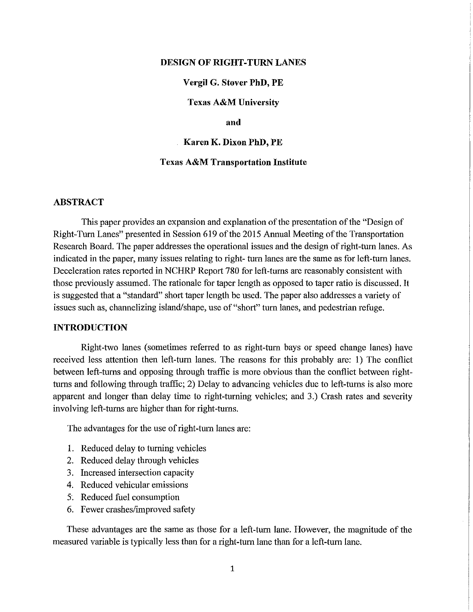#### **DESIGN OF RIGHT-TURN LANES**

# **Vergil G. Stover PhD, PE**

**Texas A&M University** 

#### **and**

### **Karen K. Dixon PhD, PE**

#### **Texas A&M Transportation Institute**

## **ABSTRACT**

This paper provides an expansion and explanation of the presentation of the "Design of Right-Turn Lanes" presented in Session 619 of the 2015 Annual Meeting of the Transportation Research Board. The paper addresses the operational issues and the design of right -turn lanes. As indicated in the paper, many issues relating to right-turn lanes are the same as for left-turn lanes. Deceleration rates reported in NCHRP Report 780 for left-turns are reasonably consistent with those previously assumed. The rationale for taper length as opposed to taper ratio is discussed. It is suggested that a "standard" short taper length be used. The paper also addresses a variety of issues such as, channelizing island/shape, use of "short" turn lanes, and pedestrian refuge.

## **INTRODUCTION**

Right-two lanes (sometimes referred to as right-turn bays or speed change lanes) have received less attention then left-turn lanes. The reasons for this probably are: 1) The conflict between left-turns and opposing through traffic is more obvious than the conflict between rightturns and following through traffic; 2) Delay to advancing vehicles due to left-turns is also more apparent and longer than delay time to right-turning vehicles; and 3.) Crash rates and severity involving left-turns are higher than for right-turns.

The advantages for the use of right-tum lanes are:

- 1. Reduced delay to turning vehicles
- 2. Reduced delay through vehicles
- 3. Increased intersection capacity
- 4. Reduced vehicular emissions
- 5. Reduced fuel consumption
- 6. Fewer crashes/improved safety

These advantages are the same as those for a left-turn lane. However, the magnitude of the measuted variable is typically less than for a right-tum lane than for a left-turn lane.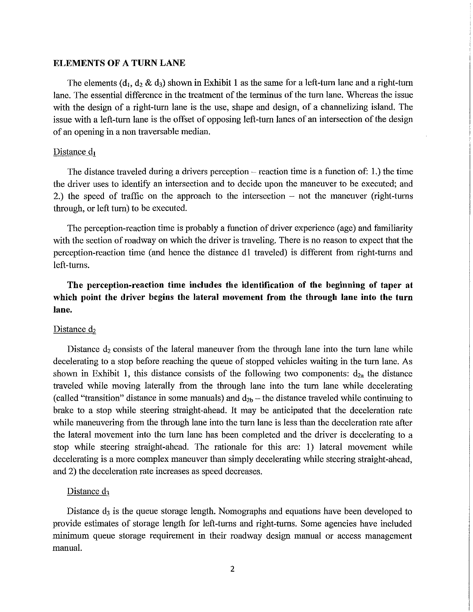#### **ELEMENTS OF A TURN LANE**

The elements (d<sub>1</sub>, d<sub>2</sub> & d<sub>3</sub>) shown in Exhibit 1 as the same for a left-turn lane and a right-turn lane. The essential difference in the treatment of the terminus of the tum lane. Whereas the issue with the design of a right-tum lane is the use, shape and design, of a channelizing island. The issue with a left-tum lane is the offset of opposing left-tum lanes of an intersection of the design of an opening in a non traversable median.

#### Distance  $d_1$

The distance traveled during a drivers perception  $-$  reaction time is a function of: 1.) the time the driver uses to identify an intersection and to decide upon the maneuver to be executed; and 2.) the speed of traffic on the approach to the intersection  $-$  not the maneuver (right-turns through, or left tum) to be executed.

The perception-reaction time is probably a function of driver experience (age) and familiarity with the section of roadway on which the driver is traveling. There is no reason to expect that the perception-reaction time (and hence the distance dl traveled) is different from right-tums and left-tums.

**The perception-reaction time includes the identification of the beginning of taper at which point the driver begins the lateral movement from the through lane into the turn**  lane.

## Distance d<sub>2</sub>

Distance  $d_2$  consists of the lateral maneuver from the through lane into the turn lane while decelerating to a stop before reaching the queue of stopped vehicles waiting in the turn lane. As shown in Exhibit 1, this distance consists of the following two components:  $d_{2a}$  the distance traveled while moving laterally from the through lane into the turn lane while decelerating (called "transition" distance in some manuals) and  $d_{2b}$  – the distance traveled while continuing to brake to a stop while steering straight-ahead. It may be anticipated that the deceleration rate while maneuvering from the through lane into the turn lane is less than the deceleration rate after the lateral movement into the tum lane has been completed and the driver is decelerating to a stop while steering straight-ahead. The rationale for this are: I) lateral movement while decelerating is a more complex maneuver than simply decelerating while steering straight-ahead, and 2) the deceleration rate increases as speed decreases.

### Distance  $d_3$

Distance  $d_3$  is the queue storage length. Nomographs and equations have been developed to provide estimates of storage length for left-tums and right-tums. Some agencies have included minimum queue storage requirement in their roadway design manual or access management manual.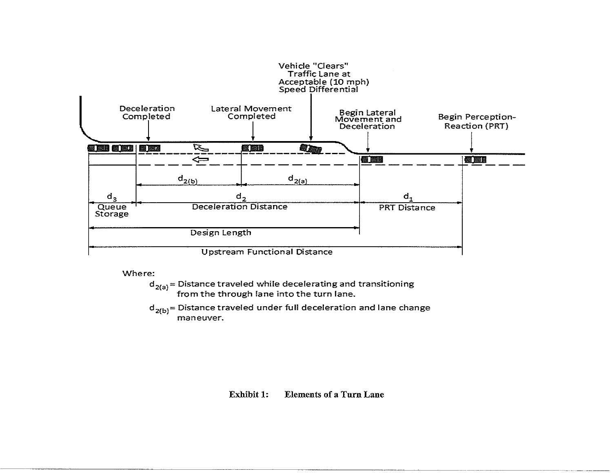

Where:

 $d_{2(a)}$  = Distance traveled while decelerating and transitioning from the through lane into the turn lane.

 $d_{2(b)}$ = Distance traveled under full deceleration and lane change maneuver.

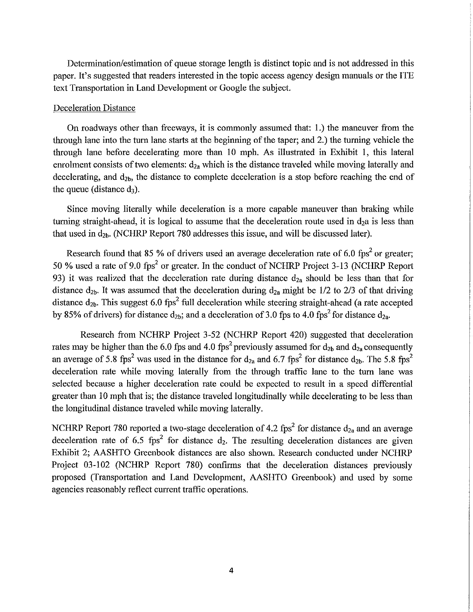Determination/estimation of queue storage length is distinct topic and is not addressed in this paper. It's suggested that readers interested in the topic access agency design manuals or the ITE text Transportation in Land Development or Google the subject.

#### Deceleration Distance

On roadways other than freeways, it is commonly assumed that: 1.) the maneuver from the through lane into the tum lane starts at the beginning of the taper; and 2.) the turning vehicle the through lane before decelerating more than 10 mph. As illustrated in Exhibit 1, this lateral enrolment consists of two elements:  $d_{2a}$  which is the distance traveled while moving laterally and decelerating, and  $d_{2b}$ , the distance to complete deceleration is a stop before reaching the end of the queue (distance  $d_3$ ).

Since moving literally while deceleration is a more capable maneuver than braking while turning straight-ahead, it is logical to assume that the deceleration route used in  $d_2a$  is less than that used in  $d_{2b}$ . (NCHRP Report 780 addresses this issue, and will be discussed later).

Research found that 85 % of drivers used an average deceleration rate of 6.0 fps<sup>2</sup> or greater; 50 % used a rate of 9.0 fps<sup>2</sup> or greater. In the conduct of NCHRP Project 3-13 (NCHRP Report 93) it was realized that the deceleration rate during distance  $d_{2a}$  should be less than that for distance  $d_{2b}$ . It was assumed that the deceleration during  $d_{2a}$  might be 1/2 to 2/3 of that driving distance  $d_{2b}$ . This suggest 6.0 fps<sup>2</sup> full deceleration while steering straight-ahead (a rate accepted by 85% of drivers) for distance  $d_{2b}$ ; and a deceleration of 3.0 fps to 4.0 fps<sup>2</sup> for distance  $d_{2a}$ .

Research from NCHRP Project 3-52 (NCHRP Report 420) suggested that deceleration rates may be higher than the 6.0 fps and 4.0 fps<sup>2</sup> previously assumed for  $d_{2b}$  and  $d_{2a}$  consequently an average of 5.8 fps<sup>2</sup> was used in the distance for  $d_{2a}$  and 6.7 fps<sup>2</sup> for distance  $d_{2b}$ . The 5.8 fps<sup>2</sup> deceleration rate while moving laterally from the through traffic lane to the turn lane was selected because a higher deceleration rate could be expected to result in a speed differential greater than 10 mph that is; the distance traveled longitudinally while decelerating to be less than the longitudinal distance traveled while moving laterally.

NCHRP Report 780 reported a two-stage deceleration of 4.2 fps<sup>2</sup> for distance  $d_{2a}$  and an average deceleration rate of  $6.5$  fps<sup>2</sup> for distance  $d_2$ . The resulting deceleration distances are given Exhibit 2; AASHTO Greenbook distances are also shown. Research conducted under NCHRP Project 03-102 (NCHRP Report 780) confirms that the deceleration distances previously proposed (Transportation and Land Development, AASHTO Greenbook) and used by some agencies reasonably reflect current traffic operations.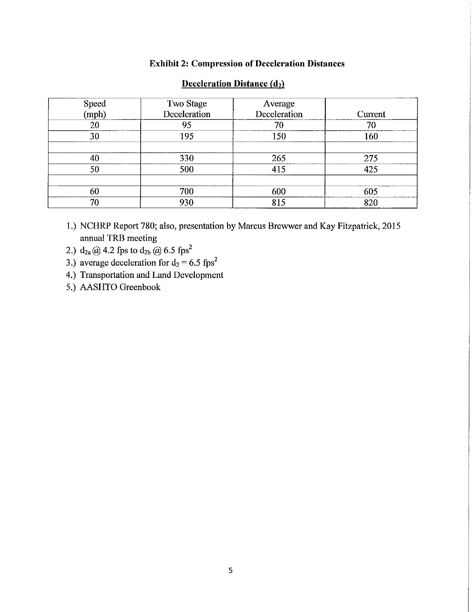# Exhibit 2: Compression of Deceleration Distances

|                | Two Stage    | Average      |         |
|----------------|--------------|--------------|---------|
| Speed<br>(mph) | Deceleration | Deceleration | Current |
| 20             | 95           | 70           | 70      |
| 30             | 195          | 150          | 160     |
|                |              |              |         |
| 40             | 330          | 265          | 275     |
| 50             | 500          | 415          | 425     |
|                |              |              |         |
| 60             | 700          | 600          | 605     |
| 70             | 930          | 815          | 820     |

# Deceleration Distance (d<sub>2</sub>)

- 1.) NCHRP Report 780; also, presentation by Marcus Brewwer and Kay Fitzpatrick, 2015 annual TRB meeting
- 2.)  $d_{2a} @ 4.2 \text{fps to } d_{2b} @ 6.5 \text{fps}^2$
- 3.) average deceleration for  $d_2 = 6.5$  fps<sup>2</sup>
- 4.) Transportation and Land Development
- 5.) AASHTO Greenbook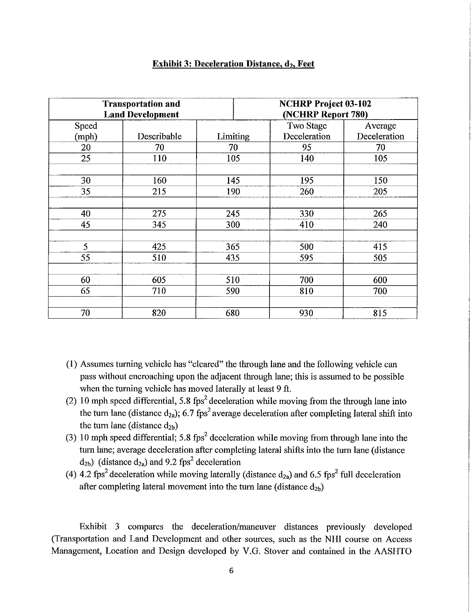| <b>Transportation and</b><br><b>Land Development</b> |             |          | <b>NCHRP Project 03-102</b><br>(NCHRP Report 780) |              |  |
|------------------------------------------------------|-------------|----------|---------------------------------------------------|--------------|--|
| Speed                                                |             |          | Two Stage                                         | Average      |  |
| (mph)                                                | Describable | Limiting | Deceleration                                      | Deceleration |  |
| 20                                                   | 70          | 70       | 95                                                | 70           |  |
| 25                                                   | 110         | 105      | 140                                               | 105          |  |
|                                                      |             |          |                                                   |              |  |
| 30                                                   | 160         | 145      | 195                                               | 150          |  |
| 35                                                   | 215         | 190      | 260                                               | 205          |  |
|                                                      |             |          |                                                   |              |  |
| 40                                                   | 275         | 245      | 330                                               | 265          |  |
| 45                                                   | 345         | 300      | 410                                               | 240          |  |
|                                                      |             |          |                                                   |              |  |
| 5                                                    | 425         | 365      | 500                                               | 415          |  |
| 55                                                   | 510         | 435      | 595                                               | 505          |  |
|                                                      |             |          |                                                   |              |  |
| 60                                                   | 605         | 510      | 700                                               | 600          |  |
| 65                                                   | 710         | 590      | 810                                               | 700          |  |
|                                                      |             |          |                                                   |              |  |
| 70                                                   | 820         | 680      | 930                                               | 815          |  |

## **Exhibit 3: Deceleration Distance,**  $d_2$ **, Feet**

- (1) Assumes turning vehicle has "cleared" the through lane and the following vehicle can pass without encroaching upon the adjacent through lane; this is assumed to be possible when the turning vehicle has moved laterally at least 9 ft.
- (2) 10 mph speed differential, 5.8 fps<sup>2</sup> deceleration while moving from the through lane into the turn lane (distance  $d_{2a}$ ); 6.7 fps<sup>2</sup> average deceleration after completing lateral shift into the turn lane (distance  $d_{2b}$ )
- (3) 10 mph speed differential; 5.8 fps<sup>2</sup> deceleration while moving from through lane into the tum lane; average deceleration after completing lateral shifts into the turn lane (distance  $d_{2b}$ ) (distance  $d_{2a}$ ) and 9.2 fps<sup>2</sup> deceleration
- (4) 4.2 fps<sup>2</sup> deceleration while moving laterally (distance  $d_{2a}$ ) and 6.5 fps<sup>2</sup> full deceleration after completing lateral movement into the turn lane (distance  $d_{2b}$ )

Exhibit 3 compares the deceleration/maneuver distances previously developed (Transportation and Land Development and other sources, such as the NHI course on Access Management, Location and Design developed by V.G. Stover and contained in the AASHTO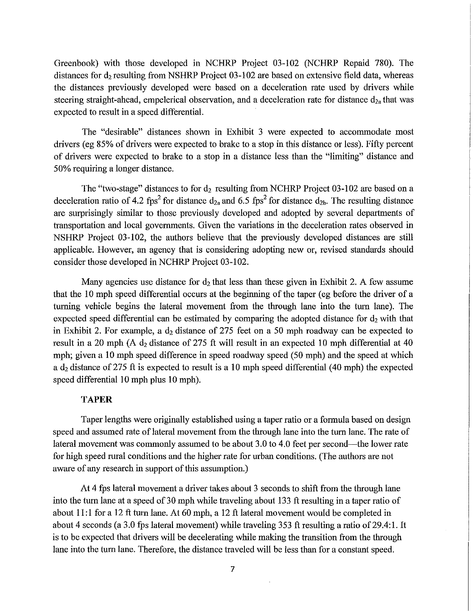Greenbook) with those developed in NCHRP Project 03-102 (NCHRP Repaid 780). The distances for  $d_2$  resulting from NSHRP Project 03-102 are based on extensive field data, whereas the distances previously developed were based on a deceleration rate used by drivers while steering straight-ahead, empelerical observation, and a deceleration rate for distance  $d_{2a}$  that was expected to result in a speed differential.

The "desirable" distances shown in Exhibit 3 were expected to accommodate most drivers (eg 85% of drivers were expected to brake to a stop in this distance or less). Fifty percent of drivers were expected to brake to a stop in a distance less than the "limiting" distance and 50% requiring a longer distance.

The "two-stage" distances to for  $d_2$  resulting from NCHRP Project 03-102 are based on a deceleration ratio of 4.2 fps<sup>2</sup> for distance  $d_{2a}$  and 6.5 fps<sup>2</sup> for distance  $d_{2b}$ . The resulting distance are surprisingly similar to those previously developed and adopted by several departments of transportation and local governments. Given the variations in the deceleration rates observed in NSHRP Project 03-102, the authors believe that the previously developed distances are still applicable. However, an agency that is considering adopting new or, revised standards should consider those developed in NCHRP Project 03-102.

Many agencies use distance for  $d_2$  that less than these given in Exhibit 2. A few assume that the 10 mph speed differential occurs at the beginning of the taper (eg before the driver of a turning vehicle begins the lateral movement from the through lane into the turn lane). The expected speed differential can be estimated by comparing the adopted distance for  $d_2$  with that in Exhibit 2. For example, a  $d_2$  distance of 275 feet on a 50 mph roadway can be expected to result in a 20 mph (A  $d_2$  distance of 275 ft will result in an expected 10 mph differential at 40 mph; given a 10 mph speed difference in speed roadway speed (50 mph) and the speed at which a  $d_2$  distance of 275 ft is expected to result is a 10 mph speed differential (40 mph) the expected speed differential 10 mph plus 10 mph).

# **TAPER**

Taper lengths were originally established using a taper ratio or a formula based on design speed and assumed rate of lateral movement from the through lane into the turn lane. The rate of lateral movement was commonly assumed to be about 3.0 to 4.0 feet per second—the lower rate for high speed rural conditions and the higher rate for urban conditions. (The authors are not aware of any research in support of this assumption.)

At 4 fps lateral movement a driver takes about 3 seconds to shift from the through lane into the turn lane at a speed of 30 mph while traveling about 133 ft resulting in a taper ratio of about 11:1 for a 12 ft turn lane. At 60 mph, a 12 ft lateral movement would be completed in about 4 seconds (a 3.0 fps lateral movement) while traveling 353 ft resulting a ratio of 29.4:1. It is to be expected that drivers will be decelerating while making the transition from the through lane into the turn lane. Therefore, the distance traveled will be less than for a constant speed.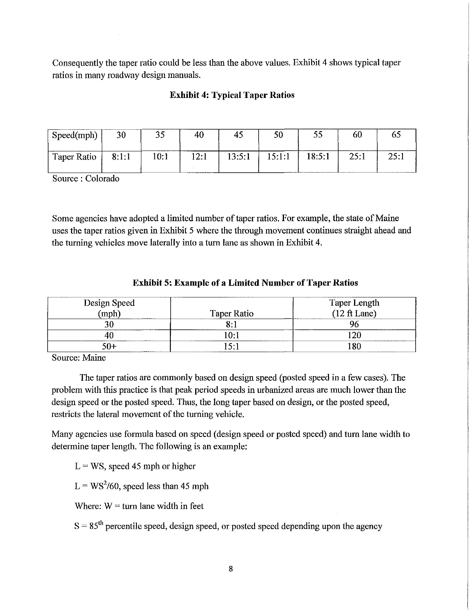Consequently the taper ratio could be less than the above values. Exhibit 4 shows typical taper ratios in many roadway design manuals.

# **Exhibit 4: Typical Taper Ratios**

| Speed(mph)  | 30    | ر. ر | 40   | -4.    | 50     |        | 60   |  |
|-------------|-------|------|------|--------|--------|--------|------|--|
| Taper Ratio | 8:1:1 | 10.1 | 12:1 | 13:5:1 | 15:1:1 | 18:5:1 | 25:1 |  |

Source: Colorado

Some agencies have adopted a limited number of taper ratios. For example, the state of Maine uses the taper ratios given in Exhibit 5 where the through movement continues straight ahead and the turning vehicles move laterally into a turn lane as shown in Exhibit 4.

# **Exhibit 5: Example of a Limited Number of Taper Ratios**

| Design Speed |                             | Taper Length<br>(12 ft Lane) |
|--------------|-----------------------------|------------------------------|
| (mph)        | <b>Taper Ratio</b><br>----- |                              |
|              |                             |                              |
| ----------   |                             | 20                           |
| . በ--        |                             |                              |

Source: Maine

The taper ratios are commonly based on design speed (posted speed in a few cases). The problem with this practice is that peak period speeds in urbanized areas are much lower than the design speed or the posted speed. Thus, the long taper based on design, or the posted speed, restricts the lateral movement of the turning vehicle.

Many agencies use formula based on speed (design speed or posted speed) and turn lane width to determine taper length. The following is an example:

 $L = WS$ , speed 45 mph or higher

 $L = WS^2/60$ , speed less than 45 mph

Where:  $W = \text{turn}$  lane width in feet

 $S = 85<sup>th</sup>$  percentile speed, design speed, or posted speed depending upon the agency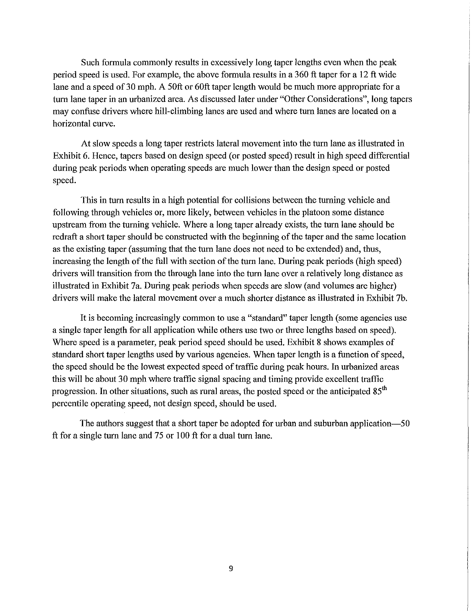Such formula commonly results in excessively long taper lengths even when the peak period speed is used. For example, the above formula results in a 360 ft taper for a 12 ft wide lane and a speed of 30 mph. A 50ft or 60ft taper length would be much more appropriate for a turn lane taper in an urbanized area. As discussed later under "Other Considerations", long tapers may confuse drivers where hill-climbing lanes are used and where turn lanes are located on a horizontal curve.

At slow speeds a long taper restricts lateral movement into the turn lane as illustrated in Exhibit 6. Hence, tapers based on design speed (or posted speed) result in high speed differential during peak periods when operating speeds are much lower than the design speed or posted speed.

This in tum results in a high potential for collisions between the turning vehicle and following through vehicles or, more likely, between vehicles in the platoon some distance upstream from the tuming vehicle. Where a long taper already exists, the turn lane should be redraft a short taper should be constructed with the beginning of the taper and the same location as the existing taper (assuming that the turn lane does not need to be extended) and, thus, increasing the length of the full with section of the turn lane. During peak periods (high speed) drivers will transition from the through lane into the turn lane over a relatively long distance as illustrated in Exhibit 7a. During peak periods when speeds are slow (and volumes are higher) drivers will make the lateral movement over a much shorter distance as illustrated in Exhibit 7b.

It is becoming increasingly common to use a "standard" taper length (some agencies use a single taper length for all application while others use two or three lengths based on speed). Where speed is a parameter, peak period speed should be used. Exhibit 8 shows examples of standard short taper lengths used by various agencies. When taper length is a function of speed, the speed should be the lowest expected speed of traffic during peak hours. In urbanized areas this will be about 30 mph where traffic signal spacing and timing provide excellent traffic progression. In other situations, such as rural areas, the posted speed or the anticipated  $85<sup>th</sup>$ percentile operating speed, not design speed, should be used.

The authors suggest that a short taper be adopted for urban and suburban application-50 ft for a single tum lane and 75 or 100 ft for a dual tum lane.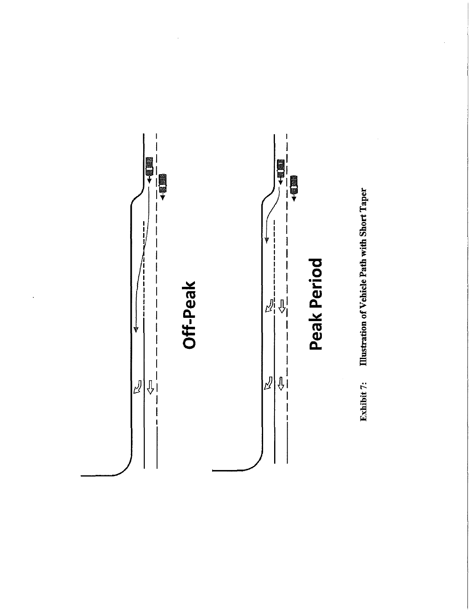

 $\bullet$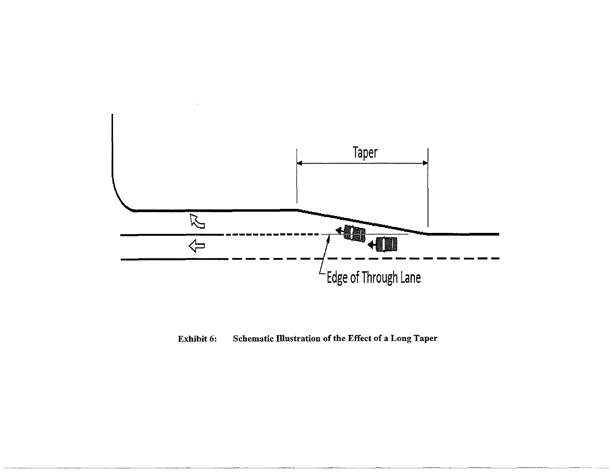

Exhibit 6: Schematic Illustration of the Effect of a Long Taper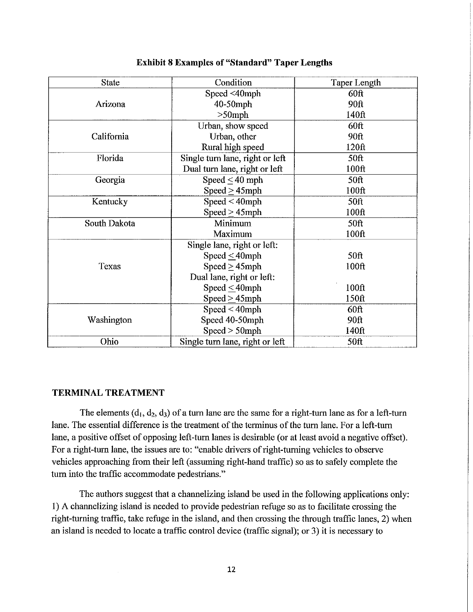| <b>State</b> | Condition                       | Taper Length      |
|--------------|---------------------------------|-------------------|
|              | Speed <40mph                    | $60$ ft           |
| Arizona      | $40-50$ mph                     | 90ft              |
|              | $>50$ mph                       | 140ft             |
|              | Urban, show speed               | 60ft              |
| California   | Urban, other                    | 90ft              |
|              | Rural high speed                | 120ft             |
| Florida      | Single turn lane, right or left | 50 <sup>ft</sup>  |
|              | Dual turn lane, right or left   | 100ft             |
| Georgia      | Speed $\leq$ 40 mph             | 50 <sub>ft</sub>  |
|              | Speed $\geq$ 45mph              | 100 <sub>ft</sub> |
| Kentucky     | $Speed < 40$ mph                | <b>50ft</b>       |
|              | $Speed \geq 45mph$              | 100 <sub>f</sub>  |
| South Dakota | Minimum                         | 50 <sub>ft</sub>  |
|              | Maximum                         | 100ft             |
|              | Single lane, right or left:     |                   |
|              | Speed $\leq$ 40mph              | 50 <sup>ft</sup>  |
| Texas        | Speed $\geq$ 45mph              | 100ft             |
|              | Dual lane, right or left:       |                   |
|              | Speed $\leq$ 40mph              | 100ft             |
|              | Speed $\geq$ 45mph              | 150ft             |
|              | $Speed < 40$ mph                | $60$ ft           |
| Washington   | Speed 40-50mph                  | 90ft              |
|              | $Speed > 50$ mph                | 140ft             |
| Ohio         | Single turn lane, right or left | 50ft              |

## **Exhibit 8 Examples of "Standard" Taper Lengths**

### **TERNITNALTREATMENT**

The elements  $(d_1, d_2, d_3)$  of a turn lane are the same for a right-turn lane as for a left-turn lane. The essential difference is the treatment of the terminus of the turn lane. For a left-turn lane, a positive offset of opposing left-turn lanes is desirable (or at least avoid a negative offset). For a right-turn lane, the issues are to: "enable drivers of right-turning vehicles to observe vehicles approaching from their left (assuming right-hand traffic) so as to safely complete the turn into the traffic accommodate pedestrians."

The authors suggest that a channelizing island be used in the following applications only: 1) A channelizing island is needed to provide pedestrian refuge so as to facilitate crossing the right-tnming traffic, take refuge in the island, and then crossing the through traffic lanes, 2) when an island is needed to locate a traffic control device (traffic signal); or 3) it is necessary to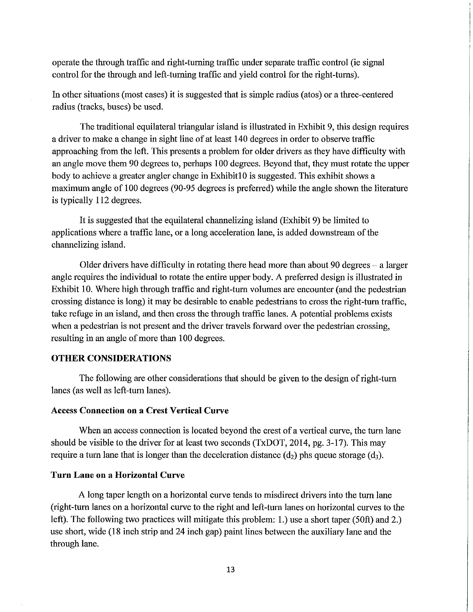operate the through traffic and right-turning traffic under separate traffic control (ie signal control for the through and left-turning traffic and yield control for the right-turns).

In other situations (most cases) it is suggested that is simple radius (atos) or a tinee-centered radius (tracks, buses) be used.

The traditional equilateral triangular island is illustrated in Exhibit 9, this design requires a driver to make a change in sight line of at least 140 degrees in order to observe traffic approaching from the left. This presents a problem for older drivers as they have difficulty with an angle move them 90 degrees to, perhaps 100 degrees. Beyond that, they must rotate the upper body to achieve a greater angler change in Exhibit 10 is suggested. This exhibit shows a maximum angle of 100 degrees (90-95 degrees is preferred) while the angle shown the literature is typically 112 degrees.

It is suggested that the equilateral channelizing island (Exhibit 9) be limited to applications where a traffic lane, or a long acceleration lane, is added downstream of the channelizing island.

Older drivers have difficulty in rotating there head more than about 90 degrees  $-$  a larger angle requires the individual to rotate the entire upper body. A preferred design is illustrated in Exhibit 10. Where high through traffic and right-turn volumes are encounter (and the pedestrian crossing distance is long) it may be desirable to enable pedestrians to cross the right -tum traffic, take refuge in an island, and then cross the through traffic lanes. A potential problems exists when a pedestrian is not present and the driver travels forward over the pedestrian crossing, resulting in an angle of more than 100 degrees.

# **OTHER CONSIDERATIONS**

The following are other considerations that should be given to the design of right-tum lanes (as well as left-tum lanes).

#### **Access Connection on a Crest Vertical Curve**

When an access connection is located beyond the crest of a vertical curve, the turn lane should be visible to the driver for at least two seconds (TxDOT, 2014, pg. 3-17). This may require a turn lane that is longer than the deceleration distance  $(d_2)$  phs queue storage  $(d_3)$ .

#### **Turn Lane on a Horizontal Curve**

A long taper length on a horizontal curve tends to misdirect drivers into the tum lane (right-tum lanes on a horizontal curve to the right and left-tum lanes on horizontal curves to the left). The following two practices will mitigate this problem: 1.) use a short taper (50ft) and 2.) use short, wide (18 inch strip and 24 inch gap) paint lines between the auxiliary lane and the through lane.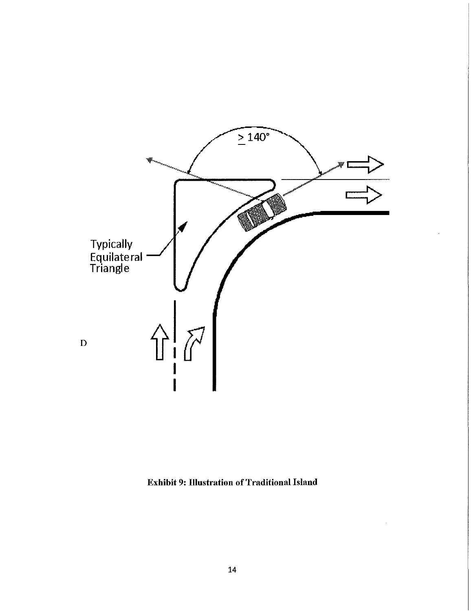

**Exhibit 9: Illustration of Traditional Island**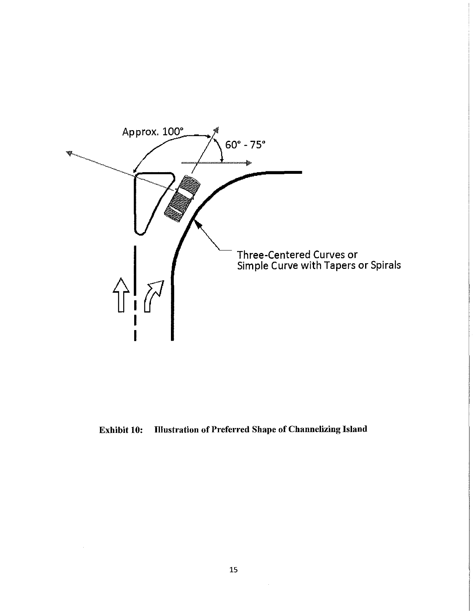

Exhibit 10: Illustration of Preferred Shape of Channelizing Island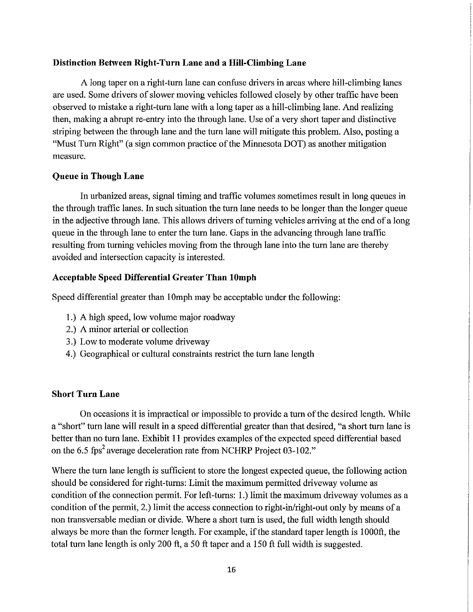# Distinction Between Right-Turn Lane and a Hill-Climbing Lane

A long taper on a right -turn lane can confuse drivers in areas where hill-climbing lanes are used. Some drivers of slower moving vehicles followed closely by other traffic have been observed to mistake a right-turn lane with a long taper as a hill-climbing lane. And realizing then, making a abrupt re-entry into the through lane. Use of a very short taper and distinctive striping between the through lane and the turn lane will mitigate this problem. Also, posting a "Must Turn Right" (a sign common practice of the Minnesota DOT) as another mitigation measure.

## Queue in Though Lane

In urbanized areas, signal timing and traffic volumes sometimes result in long queues in the through traffic lanes. In such situation the turn lane needs to be longer than the longer queue in the adjective through lane. This allows drivers of turning vehicles arriving at the end of a long queue in the through lane to enter the turn lane. Gaps in the advancing through lane traffic resulting from turning vehicles moving from the through lane into the turn lane are thereby avoided and intersection capacity is interested.

## Acceptable Speed Differential Greater Than lOmph

Speed differential greater than 10mph may be acceptable under the following:

- 1.) A high speed, low volume major roadway
- 2.) A minor arterial or collection
- 3.) Low to moderate volume driveway
- 4.) Geographical or cultural constraints restrict the turn lane length

# Short Turn Lane

On occasions it is impractical or impossible to provide a turn of the desired length. While a "short" turn lane will result in a speed differential greater than that desired, "a short turn lane is better than no turn lane. Exhibit 11 provides examples of the expected speed differential based on the 6.5 fps<sup>2</sup> average deceleration rate from NCHRP Project 03-102."

Where the turn lane length is sufficient to store the longest expected queue, the following action should be considered for right-turns: Limit the maximum permitted driveway volume as condition of the connection permit. For left-turns: 1.) limit the maximum driveway volumes as a condition of the permit, 2.) limit the access connection to right-in/right-out only by means of a non transversable median or divide. Where a short turn is used, the full width length should always be more than the fonner length. For example, if the standard taper length is 1000ft, the total turn lane length is only 200 ft, a 50 ft taper and a 150 ft full width is suggested.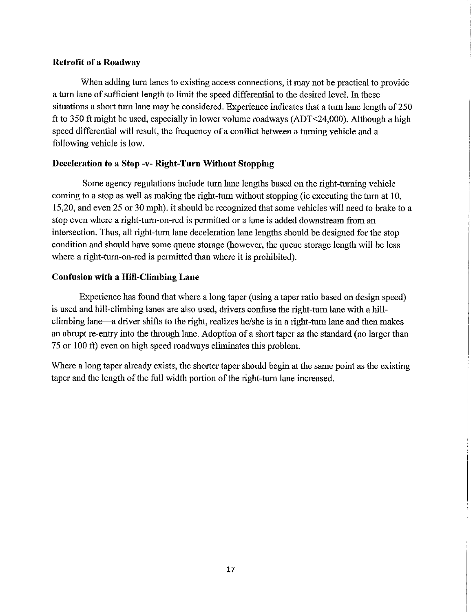# Retrofit of a Roadway

When adding tum lanes to existing access connections, it may not be practical to provide a tum lane of sufficient length to limit the speed differential to the desired level. In these situations a short tum lane may be considered. Experience indicates that a tum lane length of 250 ft to 350 ft might be used, especially in lower volume roadways (ADT<24,000). Although a high speed differential will result, the frequency of a conflict between a tuming vehicle and a following vehicle is low.

# Deceleration to a Stop -v- Right-Turn Without Stopping

Some agency regulations include turn lane lengths based on the right-turning vehicle coming to a stop as well as making the right-tum without stopping (ie executing the tum at lO, 15,20, and even 25 or 30 mph). it should be recognized that some vehicles will need to brake to a stop even where a right-tum-on-red is permitted or a lane is added downstream from an intersection. Thus, all right -tum lane deceleration lane lengths should be designed for the stop condition and should have some queue storage (however, the queue storage length will be less where a right-tum-on-red is permitted than where it is prohibited).

# Confusion with a Hill-Climbing Lane

Experience has found that where a long taper (using a taper ratio based on design speed) is used and hill-climbing lanes are also used, drivers confuse the right-tum lane with a hillclimbing lane-a driver shifts to the right, realizes he/she is in a right-tum lane and then makes an abrupt re-entry into the through lane. Adoption of a short taper as the standard (no larger than 75 or lOO ft) even on high speed roadways eliminates this problem.

Where a long taper already exists, the shorter taper should begin at the same point as the existing taper and the length of the full width portion of the right-turn lane increased.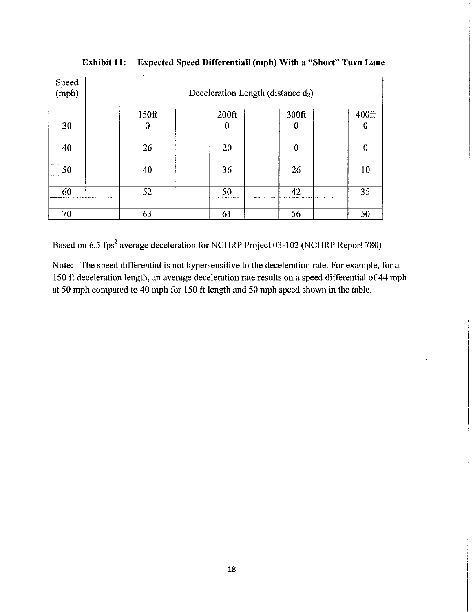| Speed<br>(mph) |       | $\sim$<br>Deceleration Length (distance $d_2$ ) |          |                  |  |  |
|----------------|-------|-------------------------------------------------|----------|------------------|--|--|
|                | 150ft | 200 <sup>ft</sup>                               | 300ft    | 400ft            |  |  |
| 30             | 0     | $\bf{0}$                                        | 0        | 0                |  |  |
|                |       |                                                 |          |                  |  |  |
| 40             | 26    | 20                                              | $\theta$ | $\boldsymbol{0}$ |  |  |
|                |       |                                                 |          |                  |  |  |
| 50             | 40    | 36                                              | 26       | 10               |  |  |
|                |       |                                                 |          |                  |  |  |
| 60             | 52    | 50                                              | 42       | 35               |  |  |
|                |       |                                                 |          |                  |  |  |
| 70             | 63    | 61                                              | 56       | 50               |  |  |

**Exhibit 11: Expected Speed Differentiall (mph) With a "Short" Turn Lane** 

Based on 6.5 fps<sup>2</sup> average deceleration for NCHRP Project 03-102 (NCHRP Report 780)

Note: The speed differential is not hypersensitive to the deceleration rate. For example, for a 150 ft deceleration length, an average deceleration rate results on a speed differential of 44 mph at 50 mph compared to 40 mph for 150 ft length and 50 mph speed shown in the table.

 $\sim$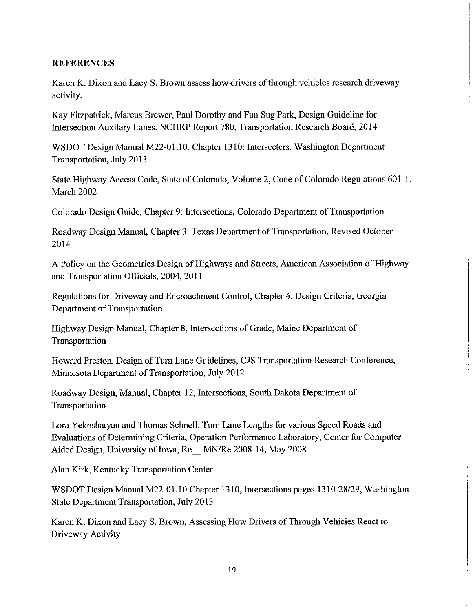# **REFERENCES**

Karen K. Dixon and Lacy S. Brown assess how drivers of through vehicles research driveway activity.

Kay Fitzpatrick, Marcus Brewer, Paul Dorothy and Fun Sug Park, Design Guideline for Intersection Auxilary Lanes, NCHRP Report 780, Transportation Research Board, 2014

WSDOT Design Manual M22-01.10, Chapter 1310: Intersecters, Washington Department Transportation, July 2013

State Highway Access Code, State of Colorado, Volume 2, Code of Colorado Regulations 601-1, March 2002

Colorado Design Guide, Chapter 9: Intersections, Colorado Department of Transportation

Roadway Design Manual, Chapter 3: Texas Department of Transportation, Revised October 2014

A Policy on the Geometries Design of Highways and Streets, American Association of Highway and Transportation Officials, 2004, 2011

Regulations for Driveway and Encroachment Control, Chapter 4, Design Criteria, Georgia Department of Transportation

Highway Design Manual, Chapter 8, Intersections of Grade, Maine Depmiment of Transportation

Howard Preston, Design of Turn Lane Guidelines, CJS Transportation Research Conference, Minnesota Department of Transportation, July 2012

Roadway Design, Manual, Chapter 12, Intersections, South Dakota Department of Transportation

Lora Yekhshatyan and Thomas Schnell, Turn Lane Lengths for various Speed Roads and Evaluations of Determining Criteria, Operation Performance Laboratory, Center for Computer Aided Design, University of Iowa, Re MN/Re 2008-14, May 2008

Alan Kirk, Kentucky Transportation Center

WSDOT Design Manual M22-01.10 Chapter 1310, Intersections pages 1310-28/29, Washington State Department Transportation, July 2013

Karen K. Dixon and Lacy S. Brown, Assessing How Drivers of Through Vehicles React to Driveway Activity